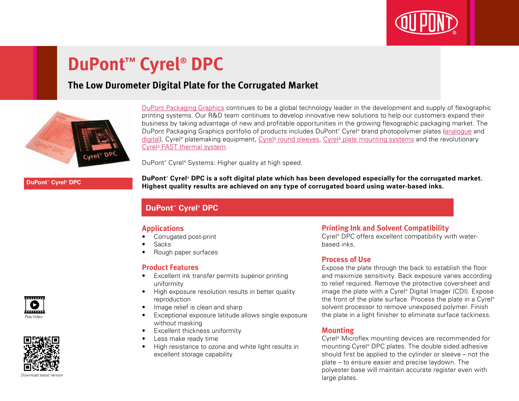

# **DuPont™ Cyrel® DPC**

## **The Low Durometer Digital Plate for the Corrugated Market**



[DuPont Packaging Graphics](http://www2.dupont.com/Packaging_Graphics/en_GB/index.html) continues to be a global technology leader in the development and supply of flexographic printing systems. Our R&D team continues to develop innovative new solutions to help our customers expand their business by taking advantage of new and profitable opportunities in the growing flexographic packaging market. The DuPont Packaging Graphics portfolio of products includes DuPont™ Cyrel® brand photopolymer plates ([analogue](http://www2.dupont.com/Packaging_Graphics/en_GB/products/solvent_platemaking/index.html) and [digital\)](http://www2.dupont.com/Packaging_Graphics/en_GB/products/digital_wkflow/digital_workflow.html), Cyrel® platemaking equipment, Cyrel® [round sleeves](http://www2.dupont.com/Packaging_Graphics/en_GB/products/cyrel_round/index_cyrelround2.html), Cyrel® [plate mounting systems](http://www2.dupont.com/Packaging_Graphics/en_GB/products/mounting_systems/index.html) and the revolutionary Cyrel<sup>®</sup> [FAST thermal system.](http://www2.dupont.com/Packaging_Graphics/en_GB/products/cyrel_fast/cyrelfast_index.html)

DuPont™ Cyrel® Systems: Higher quality at high speed.

**DuPont™ Cyrel® DPC**

**DuPont™ Cyrel® DPC is a soft digital plate which has been developed especially for the corrugated market. Highest quality results are achieved on any type of corrugated board using water-based inks.**

#### **DuPont™ Cyrel® DPC**

#### **Applications**

- Corrugated post-print
- Sacks
- Rough paper surfaces

#### **Product Features**

- • Excellent ink transfer permits superior printing uniformity
- High exposure resolution results in better quality reproduction
- Image relief is clean and sharp
- • Exceptional exposure latitude allows single exposure without masking
- Excellent thickness uniformity
- • Less make ready time
- High resistance to ozone and white light results in excellent storage capability

#### **Printing Ink and Solvent Compatibility**

Cyrel® DPC offers excellent compatibility with waterbased inks.

#### **Process of Use**

Expose the plate through the back to establish the floor and maximize sensitivity. Back exposure varies according to relief required. Remove the protective coversheet and image the plate with a Cyrel® Digital Imager (CDI). Expose the front of the plate surface. Process the plate in a Cyrel® solvent processor to remove unexposed polymer. Finish the plate in a light finisher to eliminate surface tackiness.

#### **Mounting**

Cyrel® Microflex mounting devices are recommended for mounting Cyrel® DPC plates. The double sided adhesive should first be applied to the cylinder or sleeve – not the plate – to ensure easier and precise laydown. The polyester base will maintain accurate register even with Download latest version **large plates.** Now the set of the set of the set of the set of the set of the set of the set of the set of the set of the set of the set of the set of the set of the set of the set of the set of th